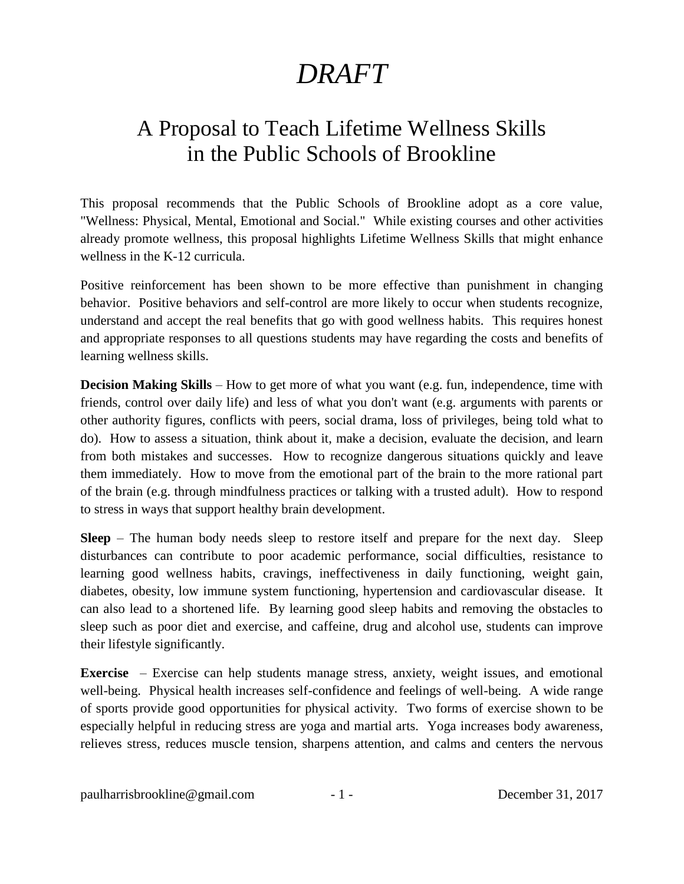## *DRAFT*

## A Proposal to Teach Lifetime Wellness Skills in the Public Schools of Brookline

This proposal recommends that the Public Schools of Brookline adopt as a core value, "Wellness: Physical, Mental, Emotional and Social." While existing courses and other activities already promote wellness, this proposal highlights Lifetime Wellness Skills that might enhance wellness in the K-12 curricula.

Positive reinforcement has been shown to be more effective than punishment in changing behavior. Positive behaviors and self-control are more likely to occur when students recognize, understand and accept the real benefits that go with good wellness habits. This requires honest and appropriate responses to all questions students may have regarding the costs and benefits of learning wellness skills.

**Decision Making Skills** – How to get more of what you want (e.g. fun, independence, time with friends, control over daily life) and less of what you don't want (e.g. arguments with parents or other authority figures, conflicts with peers, social drama, loss of privileges, being told what to do). How to assess a situation, think about it, make a decision, evaluate the decision, and learn from both mistakes and successes. How to recognize dangerous situations quickly and leave them immediately. How to move from the emotional part of the brain to the more rational part of the brain (e.g. through mindfulness practices or talking with a trusted adult). How to respond to stress in ways that support healthy brain development.

**Sleep** – The human body needs sleep to restore itself and prepare for the next day. Sleep disturbances can contribute to poor academic performance, social difficulties, resistance to learning good wellness habits, cravings, ineffectiveness in daily functioning, weight gain, diabetes, obesity, low immune system functioning, hypertension and cardiovascular disease. It can also lead to a shortened life. By learning good sleep habits and removing the obstacles to sleep such as poor diet and exercise, and caffeine, drug and alcohol use, students can improve their lifestyle significantly.

**Exercise** – Exercise can help students manage stress, anxiety, weight issues, and emotional well-being. Physical health increases self-confidence and feelings of well-being. A wide range of sports provide good opportunities for physical activity. Two forms of exercise shown to be especially helpful in reducing stress are yoga and martial arts. Yoga increases body awareness, relieves stress, reduces muscle tension, sharpens attention, and calms and centers the nervous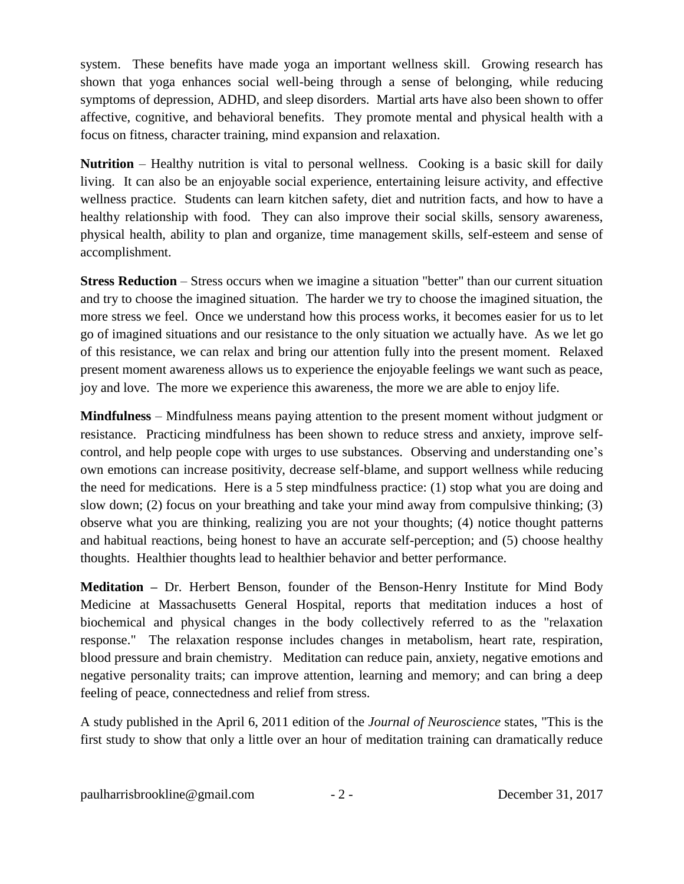system. These benefits have made yoga an important wellness skill. Growing research has shown that yoga enhances social well-being through a sense of belonging, while reducing symptoms of depression, ADHD, and sleep disorders. Martial arts have also been shown to offer affective, cognitive, and behavioral benefits. They promote mental and physical health with a focus on fitness, character training, mind expansion and relaxation.

**Nutrition** – Healthy nutrition is vital to personal wellness. Cooking is a basic skill for daily living. It can also be an enjoyable social experience, entertaining leisure activity, and effective wellness practice. Students can learn kitchen safety, diet and nutrition facts, and how to have a healthy relationship with food. They can also improve their social skills, sensory awareness, physical health, ability to plan and organize, time management skills, self-esteem and sense of accomplishment.

**Stress Reduction** – Stress occurs when we imagine a situation "better" than our current situation and try to choose the imagined situation. The harder we try to choose the imagined situation, the more stress we feel. Once we understand how this process works, it becomes easier for us to let go of imagined situations and our resistance to the only situation we actually have. As we let go of this resistance, we can relax and bring our attention fully into the present moment. Relaxed present moment awareness allows us to experience the enjoyable feelings we want such as peace, joy and love. The more we experience this awareness, the more we are able to enjoy life.

**Mindfulness** – Mindfulness means paying attention to the present moment without judgment or resistance. Practicing mindfulness has been shown to reduce stress and anxiety, improve selfcontrol, and help people cope with urges to use substances. Observing and understanding one's own emotions can increase positivity, decrease self-blame, and support wellness while reducing the need for medications. Here is a 5 step mindfulness practice: (1) stop what you are doing and slow down; (2) focus on your breathing and take your mind away from compulsive thinking; (3) observe what you are thinking, realizing you are not your thoughts; (4) notice thought patterns and habitual reactions, being honest to have an accurate self-perception; and (5) choose healthy thoughts. Healthier thoughts lead to healthier behavior and better performance.

**Meditation –** Dr. Herbert Benson, founder of the Benson-Henry Institute for Mind Body Medicine at Massachusetts General Hospital, reports that meditation induces a host of biochemical and physical changes in the body collectively referred to as the "relaxation response." The relaxation response includes changes in metabolism, heart rate, respiration, blood pressure and brain chemistry.Meditation can reduce pain, anxiety, negative emotions and negative personality traits; can improve attention, learning and memory; and can bring a deep feeling of peace, connectedness and relief from stress.

A study published in the April 6, 2011 edition of the *Journal of Neuroscience* states, "This is the first study to show that only a little over an hour of meditation training can dramatically reduce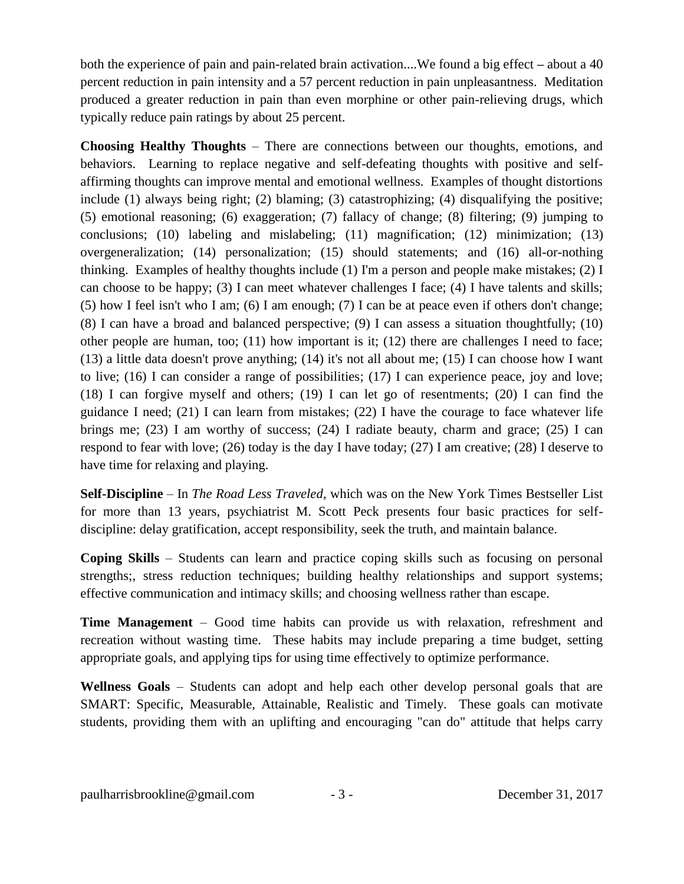both the experience of pain and pain-related brain activation....We found a big effect **–** about a 40 percent reduction in pain intensity and a 57 percent reduction in pain unpleasantness. Meditation produced a greater reduction in pain than even morphine or other pain-relieving drugs, which typically reduce pain ratings by about 25 percent.

**Choosing Healthy Thoughts** – There are connections between our thoughts, emotions, and behaviors. Learning to replace negative and self-defeating thoughts with positive and selfaffirming thoughts can improve mental and emotional wellness. Examples of thought distortions include (1) always being right; (2) blaming; (3) catastrophizing; (4) disqualifying the positive; (5) emotional reasoning; (6) exaggeration; (7) fallacy of change; (8) filtering; (9) jumping to conclusions; (10) labeling and mislabeling; (11) magnification; (12) minimization; (13) overgeneralization; (14) personalization; (15) should statements; and (16) all-or-nothing thinking. Examples of healthy thoughts include (1) I'm a person and people make mistakes; (2) I can choose to be happy; (3) I can meet whatever challenges I face; (4) I have talents and skills; (5) how I feel isn't who I am; (6) I am enough; (7) I can be at peace even if others don't change; (8) I can have a broad and balanced perspective; (9) I can assess a situation thoughtfully; (10) other people are human, too; (11) how important is it; (12) there are challenges I need to face; (13) a little data doesn't prove anything; (14) it's not all about me; (15) I can choose how I want to live; (16) I can consider a range of possibilities; (17) I can experience peace, joy and love; (18) I can forgive myself and others; (19) I can let go of resentments; (20) I can find the guidance I need; (21) I can learn from mistakes; (22) I have the courage to face whatever life brings me; (23) I am worthy of success; (24) I radiate beauty, charm and grace; (25) I can respond to fear with love; (26) today is the day I have today; (27) I am creative; (28) I deserve to have time for relaxing and playing.

**Self-Discipline** – In *The Road Less Traveled*, which was on the New York Times Bestseller List for more than 13 years, psychiatrist M. Scott Peck presents four basic practices for selfdiscipline: delay gratification, accept responsibility, seek the truth, and maintain balance.

**Coping Skills** – Students can learn and practice coping skills such as focusing on personal strengths;, stress reduction techniques; building healthy relationships and support systems; effective communication and intimacy skills; and choosing wellness rather than escape.

**Time Management** – Good time habits can provide us with relaxation, refreshment and recreation without wasting time. These habits may include preparing a time budget, setting appropriate goals, and applying tips for using time effectively to optimize performance.

**Wellness Goals** – Students can adopt and help each other develop personal goals that are SMART: Specific, Measurable, Attainable, Realistic and Timely. These goals can motivate students, providing them with an uplifting and encouraging "can do" attitude that helps carry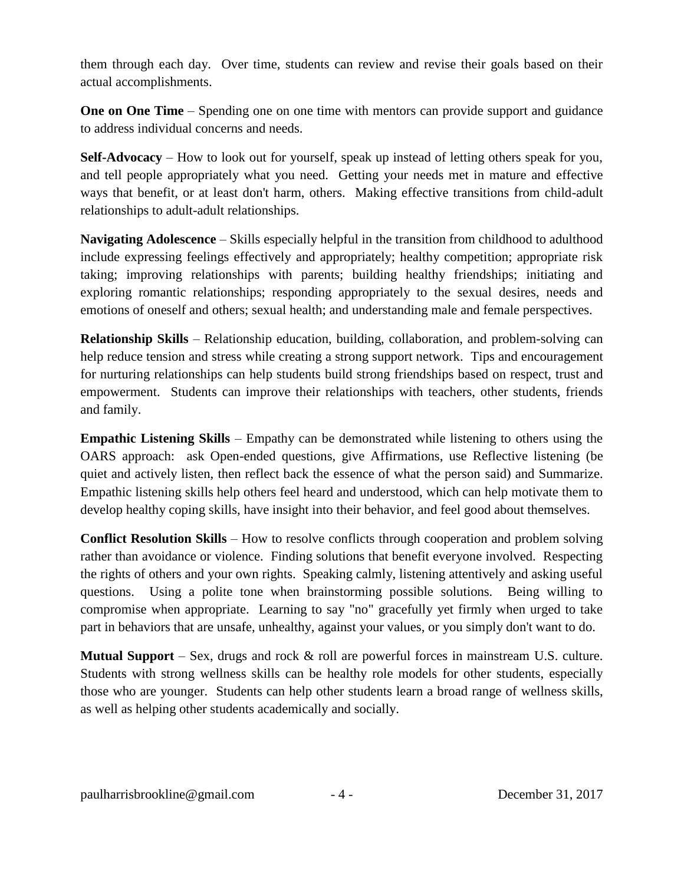them through each day. Over time, students can review and revise their goals based on their actual accomplishments.

**One on One Time** – Spending one on one time with mentors can provide support and guidance to address individual concerns and needs.

**Self-Advocacy** – How to look out for yourself, speak up instead of letting others speak for you, and tell people appropriately what you need. Getting your needs met in mature and effective ways that benefit, or at least don't harm, others. Making effective transitions from child-adult relationships to adult-adult relationships.

**Navigating Adolescence** – Skills especially helpful in the transition from childhood to adulthood include expressing feelings effectively and appropriately; healthy competition; appropriate risk taking; improving relationships with parents; building healthy friendships; initiating and exploring romantic relationships; responding appropriately to the sexual desires, needs and emotions of oneself and others; sexual health; and understanding male and female perspectives.

**Relationship Skills** – Relationship education, building, collaboration, and problem-solving can help reduce tension and stress while creating a strong support network. Tips and encouragement for nurturing relationships can help students build strong friendships based on respect, trust and empowerment. Students can improve their relationships with teachers, other students, friends and family.

**Empathic Listening Skills** – Empathy can be demonstrated while listening to others using the OARS approach: ask Open-ended questions, give Affirmations, use Reflective listening (be quiet and actively listen, then reflect back the essence of what the person said) and Summarize. Empathic listening skills help others feel heard and understood, which can help motivate them to develop healthy coping skills, have insight into their behavior, and feel good about themselves.

**Conflict Resolution Skills** – How to resolve conflicts through cooperation and problem solving rather than avoidance or violence. Finding solutions that benefit everyone involved. Respecting the rights of others and your own rights. Speaking calmly, listening attentively and asking useful questions. Using a polite tone when brainstorming possible solutions. Being willing to compromise when appropriate. Learning to say "no" gracefully yet firmly when urged to take part in behaviors that are unsafe, unhealthy, against your values, or you simply don't want to do.

**Mutual Support** – Sex, drugs and rock & roll are powerful forces in mainstream U.S. culture. Students with strong wellness skills can be healthy role models for other students, especially those who are younger. Students can help other students learn a broad range of wellness skills, as well as helping other students academically and socially.